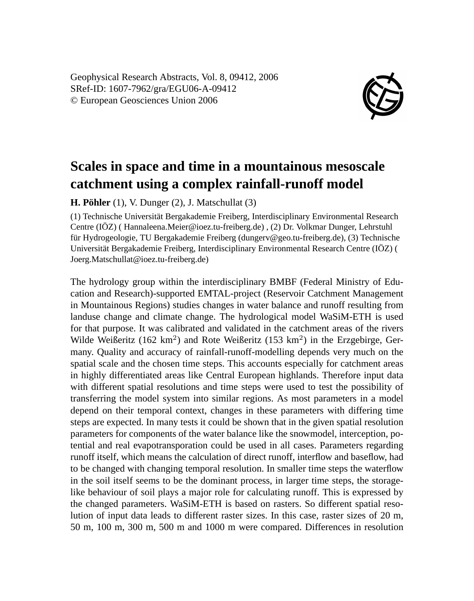Geophysical Research Abstracts, Vol. 8, 09412, 2006 SRef-ID: 1607-7962/gra/EGU06-A-09412 © European Geosciences Union 2006



## **Scales in space and time in a mountainous mesoscale catchment using a complex rainfall-runoff model**

**H. Pöhler** (1), V. Dunger (2), J. Matschullat (3)

(1) Technische Universität Bergakademie Freiberg, Interdisciplinary Environmental Research Centre (IÖZ) ( Hannaleena.Meier@ioez.tu-freiberg.de) , (2) Dr. Volkmar Dunger, Lehrstuhl für Hydrogeologie, TU Bergakademie Freiberg (dungerv@geo.tu-freiberg.de), (3) Technische Universität Bergakademie Freiberg, Interdisciplinary Environmental Research Centre (IÖZ) ( Joerg.Matschullat@ioez.tu-freiberg.de)

The hydrology group within the interdisciplinary BMBF (Federal Ministry of Education and Research)-supported EMTAL-project (Reservoir Catchment Management in Mountainous Regions) studies changes in water balance and runoff resulting from landuse change and climate change. The hydrological model WaSiM-ETH is used for that purpose. It was calibrated and validated in the catchment areas of the rivers Wilde Weißeritz (162 km<sup>2</sup>) and Rote Weißeritz (153 km<sup>2</sup>) in the Erzgebirge, Germany. Quality and accuracy of rainfall-runoff-modelling depends very much on the spatial scale and the chosen time steps. This accounts especially for catchment areas in highly differentiated areas like Central European highlands. Therefore input data with different spatial resolutions and time steps were used to test the possibility of transferring the model system into similar regions. As most parameters in a model depend on their temporal context, changes in these parameters with differing time steps are expected. In many tests it could be shown that in the given spatial resolution parameters for components of the water balance like the snowmodel, interception, potential and real evapotransporation could be used in all cases. Parameters regarding runoff itself, which means the calculation of direct runoff, interflow and baseflow, had to be changed with changing temporal resolution. In smaller time steps the waterflow in the soil itself seems to be the dominant process, in larger time steps, the storagelike behaviour of soil plays a major role for calculating runoff. This is expressed by the changed parameters. WaSiM-ETH is based on rasters. So different spatial resolution of input data leads to different raster sizes. In this case, raster sizes of 20 m, 50 m, 100 m, 300 m, 500 m and 1000 m were compared. Differences in resolution